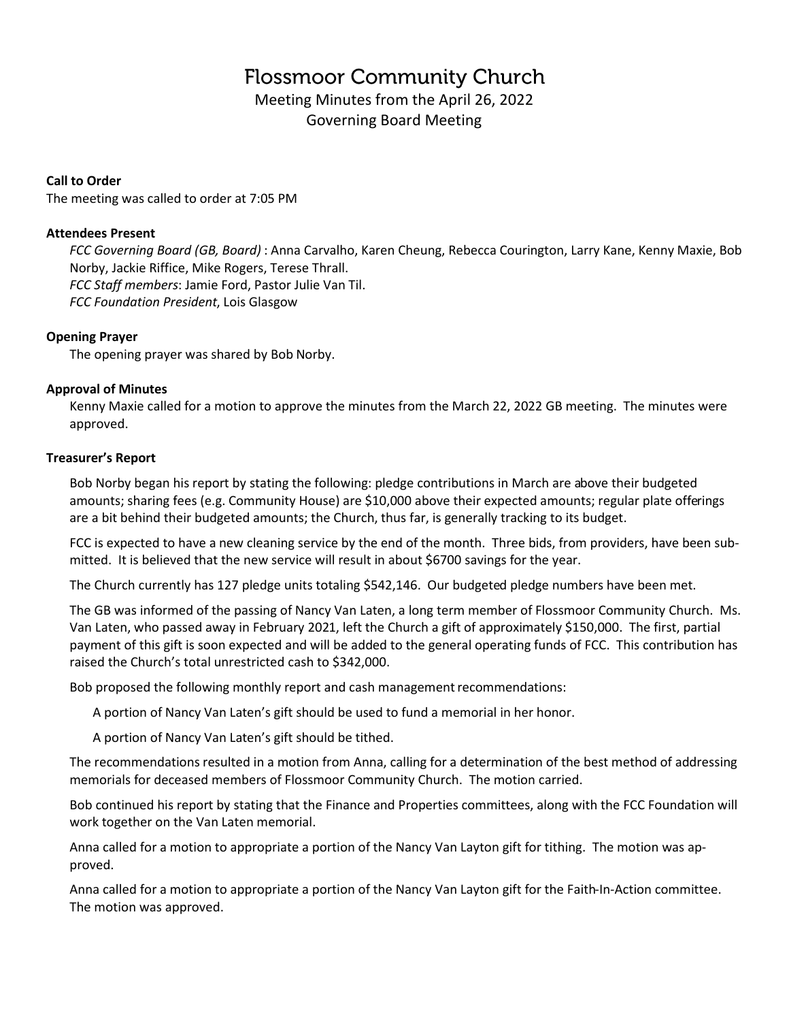# **Flossmoor Community Church**

Meeting Minutes from the April 26, 2022 Governing Board Meeting

# **Call to Order**

The meeting was called to order at 7:05 PM

## **Attendees Present**

*FCC Governing Board (GB, Board)* : Anna Carvalho, Karen Cheung, Rebecca Courington, Larry Kane, Kenny Maxie, Bob Norby, Jackie Riffice, Mike Rogers, Terese Thrall. *FCC Staff members*: Jamie Ford, Pastor Julie Van Til. *FCC Foundation President*, Lois Glasgow

## **Opening Prayer**

The opening prayer was shared by Bob Norby.

## **Approval of Minutes**

Kenny Maxie called for a motion to approve the minutes from the March 22, 2022 GB meeting. The minutes were approved.

## **Treasurer's Report**

Bob Norby began his report by stating the following: pledge contributions in March are above their budgeted amounts; sharing fees (e.g. Community House) are \$10,000 above their expected amounts; regular plate offerings are a bit behind their budgeted amounts; the Church, thus far, is generally tracking to its budget.

FCC is expected to have a new cleaning service by the end of the month. Three bids, from providers, have been submitted. It is believed that the new service will result in about \$6700 savings for the year.

The Church currently has 127 pledge units totaling \$542,146. Our budgeted pledge numbers have been met.

The GB was informed of the passing of Nancy Van Laten, a long term member of Flossmoor Community Church. Ms. Van Laten, who passed away in February 2021, left the Church a gift of approximately \$150,000. The first, partial payment of this gift is soon expected and will be added to the general operating funds of FCC. This contribution has raised the Church's total unrestricted cash to \$342,000.

Bob proposed the following monthly report and cash management recommendations:

A portion of Nancy Van Laten's gift should be used to fund a memorial in her honor.

A portion of Nancy Van Laten's gift should be tithed.

The recommendations resulted in a motion from Anna, calling for a determination of the best method of addressing memorials for deceased members of Flossmoor Community Church. The motion carried.

Bob continued his report by stating that the Finance and Properties committees, along with the FCC Foundation will work together on the Van Laten memorial.

Anna called for a motion to appropriate a portion of the Nancy Van Layton gift for tithing. The motion was approved.

Anna called for a motion to appropriate a portion of the Nancy Van Layton gift for the Faith-In-Action committee. The motion was approved.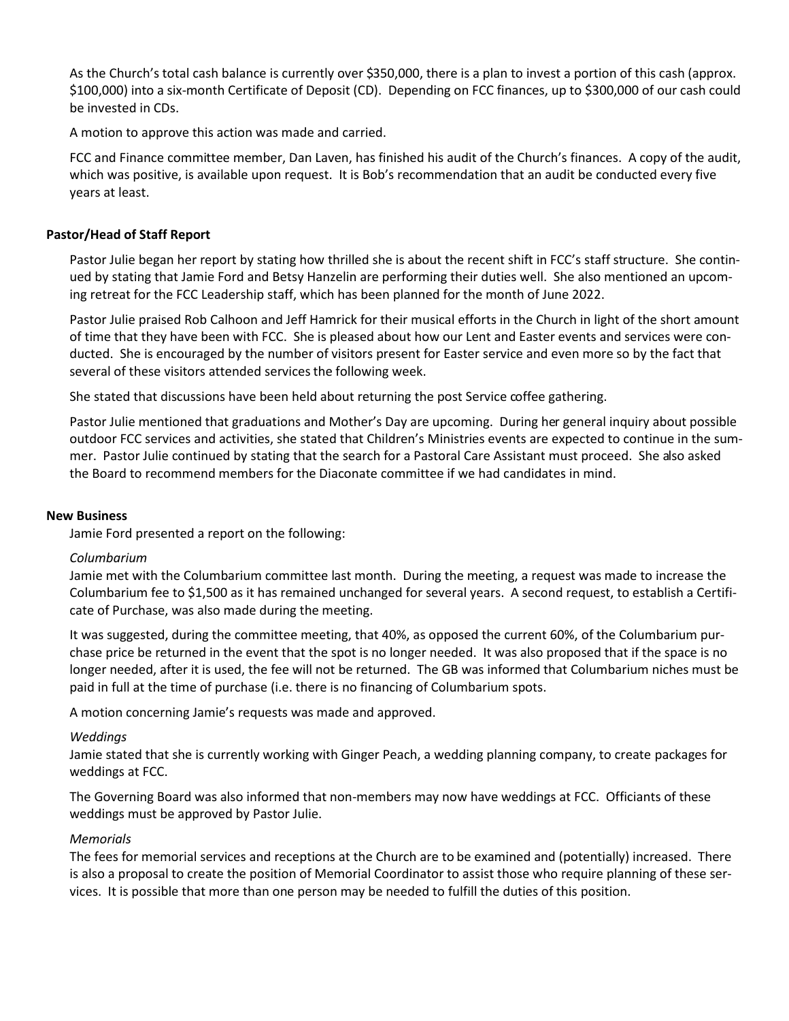As the Church's total cash balance is currently over \$350,000, there is a plan to invest a portion of this cash (approx. \$100,000) into a six-month Certificate of Deposit (CD). Depending on FCC finances, up to \$300,000 of our cash could be invested in CDs.

A motion to approve this action was made and carried.

FCC and Finance committee member, Dan Laven, has finished his audit of the Church's finances. A copy of the audit, which was positive, is available upon request. It is Bob's recommendation that an audit be conducted every five years at least.

## **Pastor/Head of Staff Report**

Pastor Julie began her report by stating how thrilled she is about the recent shift in FCC's staff structure. She continued by stating that Jamie Ford and Betsy Hanzelin are performing their duties well. She also mentioned an upcoming retreat for the FCC Leadership staff, which has been planned for the month of June 2022.

Pastor Julie praised Rob Calhoon and Jeff Hamrick for their musical efforts in the Church in light of the short amount of time that they have been with FCC. She is pleased about how our Lent and Easter events and services were conducted. She is encouraged by the number of visitors present for Easter service and even more so by the fact that several of these visitors attended services the following week.

She stated that discussions have been held about returning the post Service coffee gathering.

Pastor Julie mentioned that graduations and Mother's Day are upcoming. During her general inquiry about possible outdoor FCC services and activities, she stated that Children's Ministries events are expected to continue in the summer. Pastor Julie continued by stating that the search for a Pastoral Care Assistant must proceed. She also asked the Board to recommend members for the Diaconate committee if we had candidates in mind.

#### **New Business**

Jamie Ford presented a report on the following:

#### *Columbarium*

Jamie met with the Columbarium committee last month. During the meeting, a request was made to increase the Columbarium fee to \$1,500 as it has remained unchanged for several years. A second request, to establish a Certificate of Purchase, was also made during the meeting.

It was suggested, during the committee meeting, that 40%, as opposed the current 60%, of the Columbarium purchase price be returned in the event that the spot is no longer needed. It was also proposed that if the space is no longer needed, after it is used, the fee will not be returned. The GB was informed that Columbarium niches must be paid in full at the time of purchase (i.e. there is no financing of Columbarium spots.

A motion concerning Jamie's requests was made and approved.

#### *Weddings*

Jamie stated that she is currently working with Ginger Peach, a wedding planning company, to create packages for weddings at FCC.

The Governing Board was also informed that non-members may now have weddings at FCC. Officiants of these weddings must be approved by Pastor Julie.

#### *Memorials*

The fees for memorial services and receptions at the Church are to be examined and (potentially) increased. There is also a proposal to create the position of Memorial Coordinator to assist those who require planning of these services. It is possible that more than one person may be needed to fulfill the duties of this position.